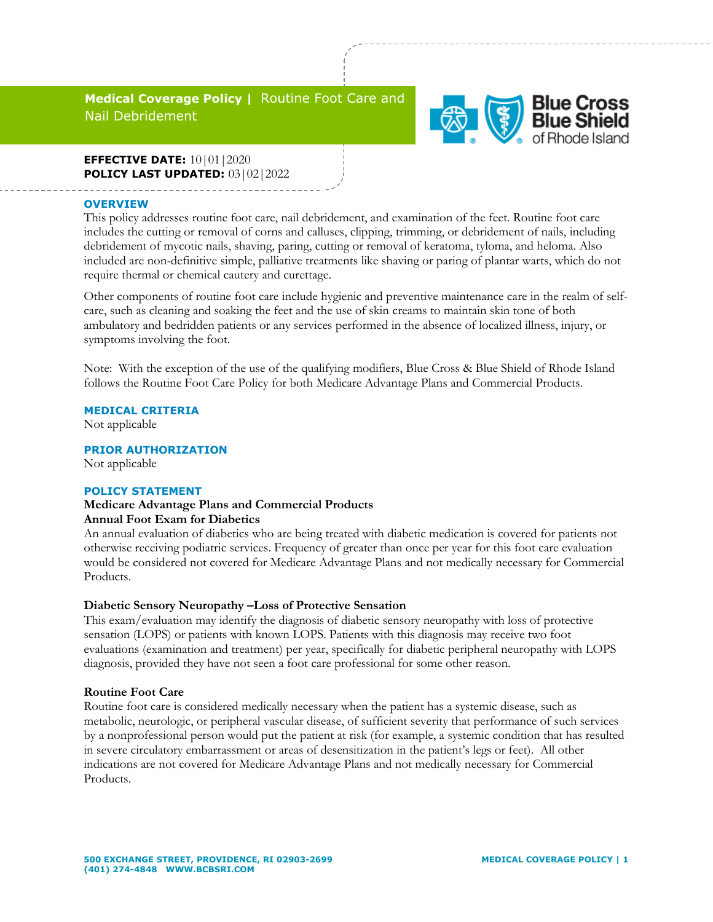# **Medical Coverage Policy |** Routine Foot Care and Nail Debridement



## **EFFECTIVE DATE:** 10|01|2020 **POLICY LAST UPDATED:** 03|02|2022

#### **OVERVIEW**

This policy addresses routine foot care, nail debridement, and examination of the feet. Routine foot care includes the cutting or removal of corns and calluses, clipping, trimming, or debridement of nails, including debridement of mycotic nails, shaving, paring, cutting or removal of keratoma, tyloma, and heloma. Also included are non-definitive simple, palliative treatments like shaving or paring of plantar warts, which do not require thermal or chemical cautery and curettage.

Other components of routine foot care include hygienic and preventive maintenance care in the realm of selfcare, such as cleaning and soaking the feet and the use of skin creams to maintain skin tone of both ambulatory and bedridden patients or any services performed in the absence of localized illness, injury, or symptoms involving the foot.

Note: With the exception of the use of the qualifying modifiers, Blue Cross & Blue Shield of Rhode Island follows the Routine Foot Care Policy for both Medicare Advantage Plans and Commercial Products.

### **MEDICAL CRITERIA**

Not applicable

**PRIOR AUTHORIZATION** Not applicable

#### **POLICY STATEMENT**

## **Medicare Advantage Plans and Commercial Products Annual Foot Exam for Diabetics**

An annual evaluation of diabetics who are being treated with diabetic medication is covered for patients not otherwise receiving podiatric services. Frequency of greater than once per year for this foot care evaluation would be considered not covered for Medicare Advantage Plans and not medically necessary for Commercial Products.

### **Diabetic Sensory Neuropathy –Loss of Protective Sensation**

This exam/evaluation may identify the diagnosis of diabetic sensory neuropathy with loss of protective sensation (LOPS) or patients with known LOPS. Patients with this diagnosis may receive two foot evaluations (examination and treatment) per year, specifically for diabetic peripheral neuropathy with LOPS diagnosis, provided they have not seen a foot care professional for some other reason.

### **Routine Foot Care**

Routine foot care is considered medically necessary when the patient has a systemic disease, such as metabolic, neurologic, or peripheral vascular disease, of sufficient severity that performance of such services by a nonprofessional person would put the patient at risk (for example, a systemic condition that has resulted in severe circulatory embarrassment or areas of desensitization in the patient's legs or feet). All other indications are not covered for Medicare Advantage Plans and not medically necessary for Commercial Products.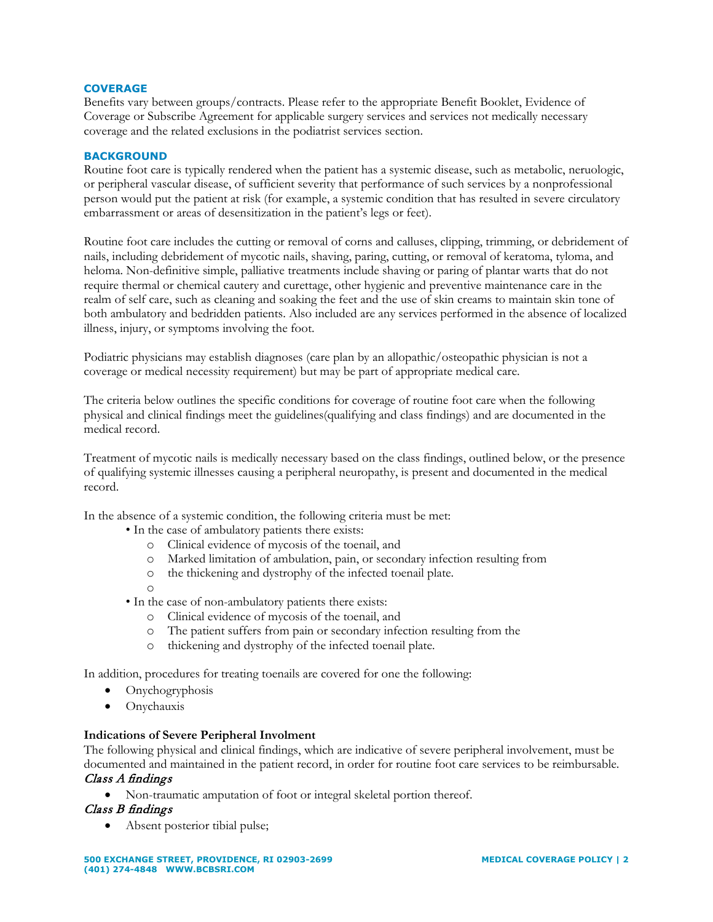### **COVERAGE**

Benefits vary between groups/contracts. Please refer to the appropriate Benefit Booklet, Evidence of Coverage or Subscribe Agreement for applicable surgery services and services not medically necessary coverage and the related exclusions in the podiatrist services section.

## **BACKGROUND**

Routine foot care is typically rendered when the patient has a systemic disease, such as metabolic, neruologic, or peripheral vascular disease, of sufficient severity that performance of such services by a nonprofessional person would put the patient at risk (for example, a systemic condition that has resulted in severe circulatory embarrassment or areas of desensitization in the patient's legs or feet).

Routine foot care includes the cutting or removal of corns and calluses, clipping, trimming, or debridement of nails, including debridement of mycotic nails, shaving, paring, cutting, or removal of keratoma, tyloma, and heloma. Non-definitive simple, palliative treatments include shaving or paring of plantar warts that do not require thermal or chemical cautery and curettage, other hygienic and preventive maintenance care in the realm of self care, such as cleaning and soaking the feet and the use of skin creams to maintain skin tone of both ambulatory and bedridden patients. Also included are any services performed in the absence of localized illness, injury, or symptoms involving the foot.

Podiatric physicians may establish diagnoses (care plan by an allopathic/osteopathic physician is not a coverage or medical necessity requirement) but may be part of appropriate medical care.

The criteria below outlines the specific conditions for coverage of routine foot care when the following physical and clinical findings meet the guidelines(qualifying and class findings) and are documented in the medical record.

Treatment of mycotic nails is medically necessary based on the class findings, outlined below, or the presence of qualifying systemic illnesses causing a peripheral neuropathy, is present and documented in the medical record.

In the absence of a systemic condition, the following criteria must be met:

- In the case of ambulatory patients there exists:
	- o Clinical evidence of mycosis of the toenail, and
	- Marked limitation of ambulation, pain, or secondary infection resulting from
	- o the thickening and dystrophy of the infected toenail plate.
	- o
- In the case of non-ambulatory patients there exists:
	- o Clinical evidence of mycosis of the toenail, and
	- o The patient suffers from pain or secondary infection resulting from the
	- o thickening and dystrophy of the infected toenail plate.

In addition, procedures for treating toenails are covered for one the following:

- Onychogryphosis
- Onychauxis

### **Indications of Severe Peripheral Involment**

The following physical and clinical findings, which are indicative of severe peripheral involvement, must be documented and maintained in the patient record, in order for routine foot care services to be reimbursable. Class A findings

• Non-traumatic amputation of foot or integral skeletal portion thereof.

### Class B findings

• Absent posterior tibial pulse;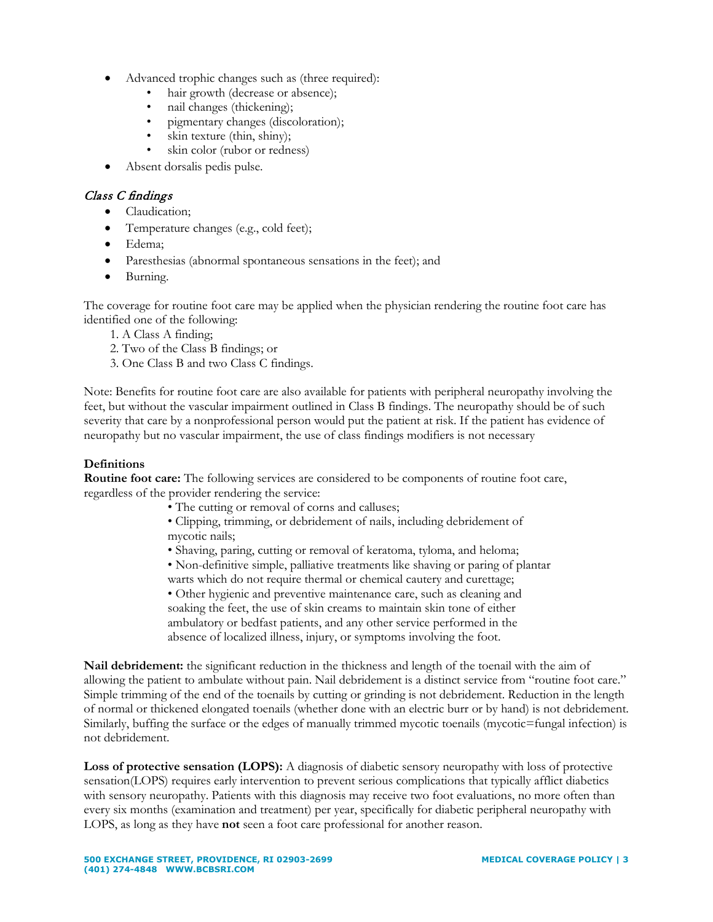- Advanced trophic changes such as (three required):
	- hair growth (decrease or absence);
	- nail changes (thickening);
	- pigmentary changes (discoloration);
	- skin texture (thin, shiny);
	- skin color (rubor or redness)
- Absent dorsalis pedis pulse.

# Class C findings

- Claudication;
- Temperature changes (e.g., cold feet);
- Edema;
- Paresthesias (abnormal spontaneous sensations in the feet); and
- Burning.

The coverage for routine foot care may be applied when the physician rendering the routine foot care has identified one of the following:

- 1. A Class A finding;
- 2. Two of the Class B findings; or
- 3. One Class B and two Class C findings.

Note: Benefits for routine foot care are also available for patients with peripheral neuropathy involving the feet, but without the vascular impairment outlined in Class B findings. The neuropathy should be of such severity that care by a nonprofessional person would put the patient at risk. If the patient has evidence of neuropathy but no vascular impairment, the use of class findings modifiers is not necessary

## **Definitions**

**Routine foot care:** The following services are considered to be components of routine foot care, regardless of the provider rendering the service:

- The cutting or removal of corns and calluses;
- Clipping, trimming, or debridement of nails, including debridement of mycotic nails;
- Shaving, paring, cutting or removal of keratoma, tyloma, and heloma;
- Non-definitive simple, palliative treatments like shaving or paring of plantar warts which do not require thermal or chemical cautery and curettage;

• Other hygienic and preventive maintenance care, such as cleaning and soaking the feet, the use of skin creams to maintain skin tone of either ambulatory or bedfast patients, and any other service performed in the absence of localized illness, injury, or symptoms involving the foot.

**Nail debridement:** the significant reduction in the thickness and length of the toenail with the aim of allowing the patient to ambulate without pain. Nail debridement is a distinct service from "routine foot care." Simple trimming of the end of the toenails by cutting or grinding is not debridement. Reduction in the length of normal or thickened elongated toenails (whether done with an electric burr or by hand) is not debridement. Similarly, buffing the surface or the edges of manually trimmed mycotic toenails (mycotic=fungal infection) is not debridement.

Loss of protective sensation (LOPS): A diagnosis of diabetic sensory neuropathy with loss of protective sensation(LOPS) requires early intervention to prevent serious complications that typically afflict diabetics with sensory neuropathy. Patients with this diagnosis may receive two foot evaluations, no more often than every six months (examination and treatment) per year, specifically for diabetic peripheral neuropathy with LOPS, as long as they have **not** seen a foot care professional for another reason.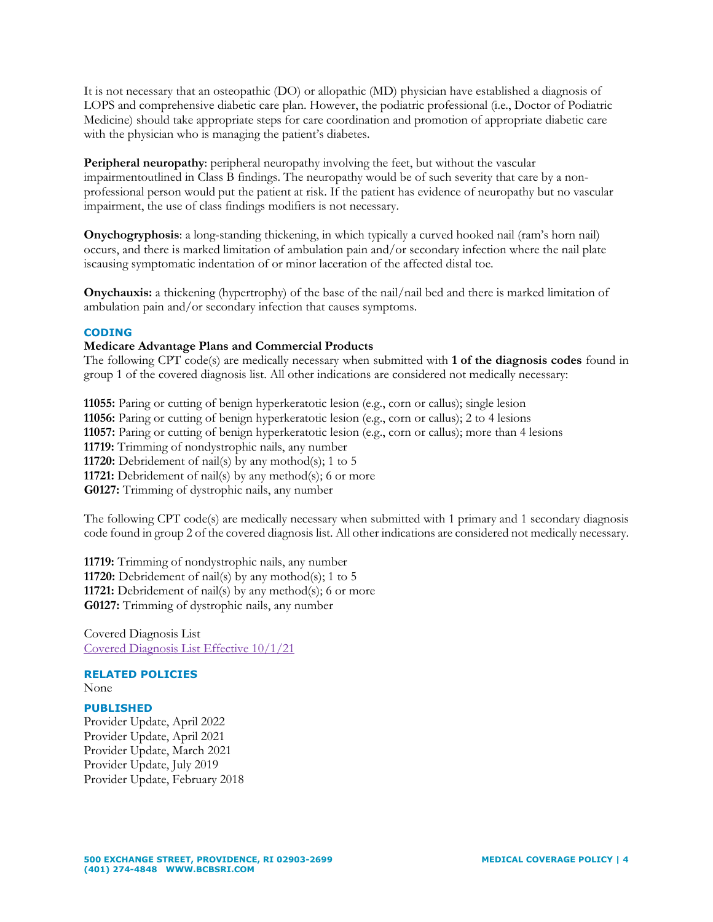It is not necessary that an osteopathic (DO) or allopathic (MD) physician have established a diagnosis of LOPS and comprehensive diabetic care plan. However, the podiatric professional (i.e., Doctor of Podiatric Medicine) should take appropriate steps for care coordination and promotion of appropriate diabetic care with the physician who is managing the patient's diabetes.

**Peripheral neuropathy**: peripheral neuropathy involving the feet, but without the vascular impairmentoutlined in Class B findings. The neuropathy would be of such severity that care by a nonprofessional person would put the patient at risk. If the patient has evidence of neuropathy but no vascular impairment, the use of class findings modifiers is not necessary.

**Onychogryphosis**: a long-standing thickening, in which typically a curved hooked nail (ram's horn nail) occurs, and there is marked limitation of ambulation pain and/or secondary infection where the nail plate iscausing symptomatic indentation of or minor laceration of the affected distal toe.

**Onychauxis:** a thickening (hypertrophy) of the base of the nail/nail bed and there is marked limitation of ambulation pain and/or secondary infection that causes symptoms.

### **CODING**

### **Medicare Advantage Plans and Commercial Products**

The following CPT code(s) are medically necessary when submitted with **1 of the diagnosis codes** found in group 1 of the covered diagnosis list. All other indications are considered not medically necessary:

**11055:** Paring or cutting of benign hyperkeratotic lesion (e.g., corn or callus); single lesion **11056:** Paring or cutting of benign hyperkeratotic lesion (e.g., corn or callus); 2 to 4 lesions **11057:** Paring or cutting of benign hyperkeratotic lesion (e.g., corn or callus); more than 4 lesions **11719:** Trimming of nondystrophic nails, any number **11720:** Debridement of nail(s) by any mothod(s); 1 to 5 **11721:** Debridement of nail(s) by any method(s); 6 or more **G0127:** Trimming of dystrophic nails, any number

The following CPT code(s) are medically necessary when submitted with 1 primary and 1 secondary diagnosis code found in group 2 of the covered diagnosis list. All other indications are considered not medically necessary.

**11719:** Trimming of nondystrophic nails, any number **11720:** Debridement of nail(s) by any mothod(s); 1 to 5 **11721:** Debridement of nail(s) by any method(s); 6 or more **G0127:** Trimming of dystrophic nails, any number

Covered Diagnosis List [Covered Diagnosis List Effective 10/1/21](https://www.bcbsri.com/providers/sites/providers/files/support/2022/03/Routine%20Foot%20care%20covered%20dx%20list%2010_1_2021.xlsx)

### **RELATED POLICIES** None

### **PUBLISHED**

Provider Update, April 2022 Provider Update, April 2021 Provider Update, March 2021 Provider Update, July 2019 Provider Update, February 2018